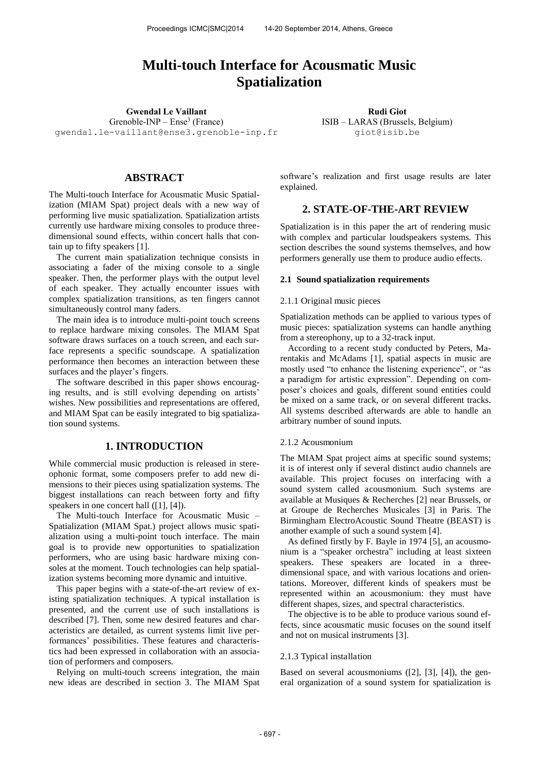# **Multi-touch Interface for Acousmatic Music Spatialization**

**Gwendal Le Vaillant Community Community Rudi Giot Rudi Giot**  $G$ renoble- $INP$  –  $Ense<sup>3</sup>$  (France)

[gwendal.le-vaillant@ense3.grenoble-inp.fr](mailto:gwendal.le-vaillant@ense3.grenoble-inp.fr)

# **ABSTRACT**

The Multi-touch Interface for Acousmatic Music Spatialization (MIAM Spat) project deals with a new way of performing live music spatialization. Spatialization artists currently use hardware mixing consoles to produce threedimensional sound effects, within concert halls that contain up to fifty speakers [1].

The current main spatialization technique consists in associating a fader of the mixing console to a single speaker. Then, the performer plays with the output level of each speaker. They actually encounter issues with complex spatialization transitions, as ten fingers cannot simultaneously control many faders.

The main idea is to introduce multi-point touch screens to replace hardware mixing consoles. The MIAM Spat software draws surfaces on a touch screen, and each surface represents a specific soundscape. A spatialization performance then becomes an interaction between these surfaces and the player's fingers.

The software described in this paper shows encouraging results, and is still evolving depending on artists' wishes. New possibilities and representations are offered, and MIAM Spat can be easily integrated to big spatialization sound systems.

# **1. INTRODUCTION**

While commercial music production is released in stereophonic format, some composers prefer to add new dimensions to their pieces using spatialization systems. The biggest installations can reach between forty and fifty speakers in one concert hall ([1], [4]).

The Multi-touch Interface for Acousmatic Music – Spatialization (MIAM Spat.) project allows music spatialization using a multi-point touch interface. The main goal is to provide new opportunities to spatialization performers, who are using basic hardware mixing consoles at the moment. Touch technologies can help spatialization systems becoming more dynamic and intuitive.

This paper begins with a state-of-the-art review of existing spatialization techniques. A typical installation is presented, and the current use of such installations is described [7]. Then, some new desired features and characteristics are detailed, as current systems limit live performances' possibilities. These features and characteristics had been expressed in collaboration with an association of performers and composers.

Relying on multi-touch screens integration, the main new ideas are described in section 3. The MIAM Spat

ISIB – LARAS (Brussels, Belgium) giot@isib.be

software's realization and first usage results are later explained.

# **2. STATE-OF-THE-ART REVIEW**

Spatialization is in this paper the art of rendering music with complex and particular loudspeakers systems. This section describes the sound systems themselves, and how performers generally use them to produce audio effects.

#### **2.1 Sound spatialization requirements**

### 2.1.1 Original music pieces

Spatialization methods can be applied to various types of music pieces: spatialization systems can handle anything from a stereophony, up to a 32-track input.

According to a recent study conducted by Peters, Marentakis and McAdams [1], spatial aspects in music are mostly used "to enhance the listening experience", or "as a paradigm for artistic expression". Depending on composer's choices and goals, different sound entities could be mixed on a same track, or on several different tracks. All systems described afterwards are able to handle an arbitrary number of sound inputs.

#### 2.1.2 Acousmonium

The MIAM Spat project aims at specific sound systems; it is of interest only if several distinct audio channels are available. This project focuses on interfacing with a sound system called acousmonium. Such systems are available at Musiques & Recherches [2] near Brussels, or at Groupe de Recherches Musicales [3] in Paris. The Birmingham ElectroAcoustic Sound Theatre (BEAST) is another example of such a sound system [4].

As defined firstly by F. Bayle in 1974 [5], an acousmonium is a "speaker orchestra" including at least sixteen speakers. These speakers are located in a threedimensional space, and with various locations and orientations. Moreover, different kinds of speakers must be represented within an acousmonium: they must have different shapes, sizes, and spectral characteristics.

The objective is to be able to produce various sound effects, since acousmatic music focuses on the sound itself and not on musical instruments [3].

### 2.1.3 Typical installation

Based on several acousmoniums ([2], [3], [4]), the general organization of a sound system for spatialization is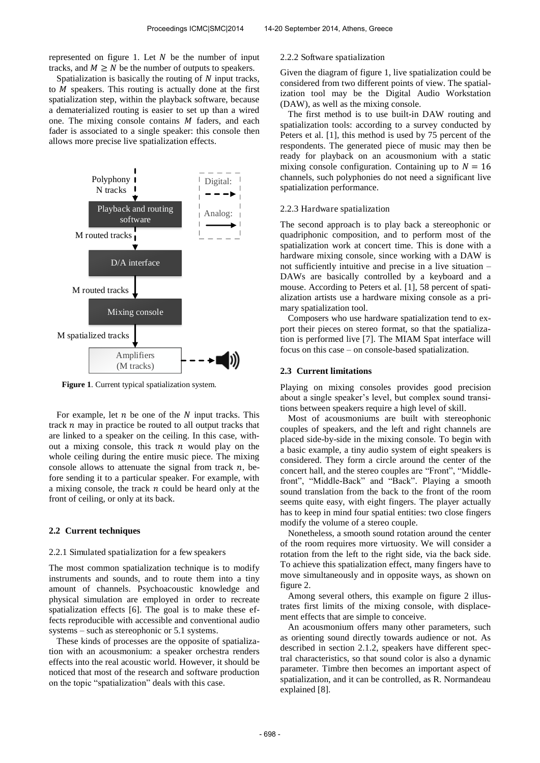represented on figure 1. Let  $N$  be the number of input tracks, and  $M \geq N$  be the number of outputs to speakers.

Spatialization is basically the routing of  $N$  input tracks, to  $M$  speakers. This routing is actually done at the first spatialization step, within the playback software, because a dematerialized routing is easier to set up than a wired one. The mixing console contains  $M$  faders, and each fader is associated to a single speaker: this console then allows more precise live spatialization effects.



**Figure 1**. Current typical spatialization system.

For example, let  $n$  be one of the  $N$  input tracks. This track  $n$  may in practice be routed to all output tracks that are linked to a speaker on the ceiling. In this case, without a mixing console, this track  $n$  would play on the whole ceiling during the entire music piece. The mixing console allows to attenuate the signal from track  $n$ , before sending it to a particular speaker. For example, with a mixing console, the track  $n$  could be heard only at the front of ceiling, or only at its back.

### **2.2 Current techniques**

#### 2.2.1 Simulated spatialization for a few speakers

The most common spatialization technique is to modify instruments and sounds, and to route them into a tiny amount of channels. Psychoacoustic knowledge and physical simulation are employed in order to recreate spatialization effects [6]. The goal is to make these effects reproducible with accessible and conventional audio systems – such as stereophonic or 5.1 systems.

These kinds of processes are the opposite of spatialization with an acousmonium: a speaker orchestra renders effects into the real acoustic world. However, it should be noticed that most of the research and software production on the topic "spatialization" deals with this case.

# 2.2.2 Software spatialization

Given the diagram of figure 1, live spatialization could be considered from two different points of view. The spatialization tool may be the Digital Audio Workstation (DAW), as well as the mixing console.

The first method is to use built-in DAW routing and spatialization tools: according to a survey conducted by Peters et al. [1], this method is used by 75 percent of the respondents. The generated piece of music may then be ready for playback on an acousmonium with a static mixing console configuration. Containing up to  $N = 16$ channels, such polyphonies do not need a significant live spatialization performance.

#### 2.2.3 Hardware spatialization

The second approach is to play back a stereophonic or quadriphonic composition, and to perform most of the spatialization work at concert time. This is done with a hardware mixing console, since working with a DAW is not sufficiently intuitive and precise in a live situation – DAWs are basically controlled by a keyboard and a mouse. According to Peters et al. [1], 58 percent of spatialization artists use a hardware mixing console as a primary spatialization tool.

Composers who use hardware spatialization tend to export their pieces on stereo format, so that the spatialization is performed live [7]. The MIAM Spat interface will focus on this case – on console-based spatialization.

# **2.3 Current limitations**

Playing on mixing consoles provides good precision about a single speaker's level, but complex sound transitions between speakers require a high level of skill.

Most of acousmoniums are built with stereophonic couples of speakers, and the left and right channels are placed side-by-side in the mixing console. To begin with a basic example, a tiny audio system of eight speakers is considered. They form a circle around the center of the concert hall, and the stereo couples are "Front", "Middlefront", "Middle-Back" and "Back". Playing a smooth sound translation from the back to the front of the room seems quite easy, with eight fingers. The player actually has to keep in mind four spatial entities: two close fingers modify the volume of a stereo couple.

Nonetheless, a smooth sound rotation around the center of the room requires more virtuosity. We will consider a rotation from the left to the right side, via the back side. To achieve this spatialization effect, many fingers have to move simultaneously and in opposite ways, as shown on figure 2.

Among several others, this example on figure 2 illustrates first limits of the mixing console, with displacement effects that are simple to conceive.

An acousmonium offers many other parameters, such as orienting sound directly towards audience or not. As described in section 2.1.2, speakers have different spectral characteristics, so that sound color is also a dynamic parameter. Timbre then becomes an important aspect of spatialization, and it can be controlled, as R. Normandeau explained [8].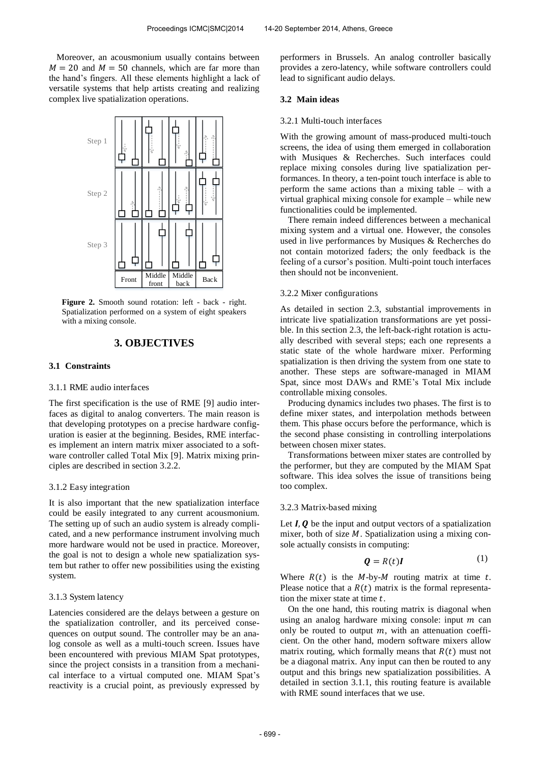Moreover, an acousmonium usually contains between  $M = 20$  and  $M = 50$  channels, which are far more than the hand's fingers. All these elements highlight a lack of versatile systems that help artists creating and realizing complex live spatialization operations.



Figure 2. Smooth sound rotation: left - back - right. Spatialization performed on a system of eight speakers with a mixing console.

# **3. OBJECTIVES**

#### **3.1 Constraints**

# 3.1.1 RME audio interfaces

The first specification is the use of RME [9] audio interfaces as digital to analog converters. The main reason is that developing prototypes on a precise hardware configuration is easier at the beginning. Besides, RME interfaces implement an intern matrix mixer associated to a software controller called Total Mix [9]. Matrix mixing principles are described in section 3.2.2.

### 3.1.2 Easy integration

It is also important that the new spatialization interface could be easily integrated to any current acousmonium. The setting up of such an audio system is already complicated, and a new performance instrument involving much more hardware would not be used in practice. Moreover, the goal is not to design a whole new spatialization system but rather to offer new possibilities using the existing system.

#### 3.1.3 System latency

Latencies considered are the delays between a gesture on the spatialization controller, and its perceived consequences on output sound. The controller may be an analog console as well as a multi-touch screen. Issues have been encountered with previous MIAM Spat prototypes, since the project consists in a transition from a mechanical interface to a virtual computed one. MIAM Spat's reactivity is a crucial point, as previously expressed by

performers in Brussels. An analog controller basically provides a zero-latency, while software controllers could lead to significant audio delays.

# **3.2 Main ideas**

#### 3.2.1 Multi-touch interfaces

With the growing amount of mass-produced multi-touch screens, the idea of using them emerged in collaboration with Musiques & Recherches. Such interfaces could replace mixing consoles during live spatialization performances. In theory, a ten-point touch interface is able to perform the same actions than a mixing table – with a virtual graphical mixing console for example – while new functionalities could be implemented.

There remain indeed differences between a mechanical mixing system and a virtual one. However, the consoles used in live performances by Musiques & Recherches do not contain motorized faders; the only feedback is the feeling of a cursor's position. Multi-point touch interfaces then should not be inconvenient.

# 3.2.2 Mixer configurations

As detailed in section 2.3, substantial improvements in intricate live spatialization transformations are yet possible. In this section 2.3, the left-back-right rotation is actually described with several steps; each one represents a static state of the whole hardware mixer. Performing spatialization is then driving the system from one state to another. These steps are software-managed in MIAM Spat, since most DAWs and RME's Total Mix include controllable mixing consoles.

Producing dynamics includes two phases. The first is to define mixer states, and interpolation methods between them. This phase occurs before the performance, which is the second phase consisting in controlling interpolations between chosen mixer states.

Transformations between mixer states are controlled by the performer, but they are computed by the MIAM Spat software. This idea solves the issue of transitions being too complex.

#### 3.2.3 Matrix-based mixing

Let  $I, Q$  be the input and output vectors of a spatialization mixer, both of size  $M$ . Spatialization using a mixing console actually consists in computing:

$$
\mathbf{Q} = R(t)\mathbf{I} \tag{1}
$$

Where  $R(t)$  is the M-by-M routing matrix at time t. Please notice that a  $R(t)$  matrix is the formal representation the mixer state at time  $t$ .

On the one hand, this routing matrix is diagonal when using an analog hardware mixing console: input  $m$  can only be routed to output  $m$ , with an attenuation coefficient. On the other hand, modern software mixers allow matrix routing, which formally means that  $R(t)$  must not be a diagonal matrix. Any input can then be routed to any output and this brings new spatialization possibilities. A detailed in section 3.1.1, this routing feature is available with RME sound interfaces that we use.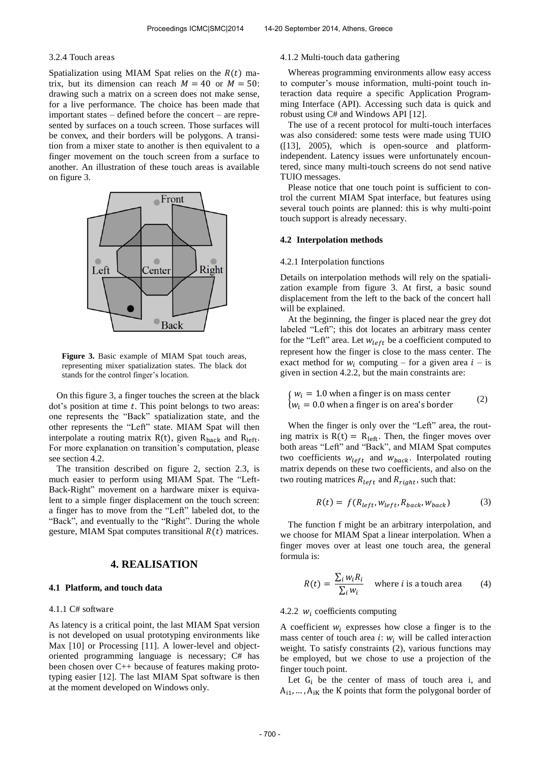# 3.2.4 Touch areas

Spatialization using MIAM Spat relies on the  $R(t)$  matrix, but its dimension can reach  $M = 40$  or  $M = 50$ : drawing such a matrix on a screen does not make sense, for a live performance. The choice has been made that important states – defined before the concert – are represented by surfaces on a touch screen. Those surfaces will be convex, and their borders will be polygons. A transition from a mixer state to another is then equivalent to a finger movement on the touch screen from a surface to another. An illustration of these touch areas is available on figure 3.



**Figure 3.** Basic example of MIAM Spat touch areas, representing mixer spatialization states. The black dot stands for the control finger's location.

On this figure 3, a finger touches the screen at the black  $dot's$  position at time  $t$ . This point belongs to two areas: one represents the "Back" spatialization state, and the other represents the "Left" state. MIAM Spat will then interpolate a routing matrix R(t), given  $R_{\text{back}}$  and  $R_{\text{left}}$ . For more explanation on transition's computation, please see section 4.2.

The transition described on figure 2, section 2.3, is much easier to perform using MIAM Spat. The "Left-Back-Right" movement on a hardware mixer is equivalent to a simple finger displacement on the touch screen: a finger has to move from the "Left" labeled dot, to the "Back", and eventually to the "Right". During the whole gesture, MIAM Spat computes transitional  $R(t)$  matrices.

# **4. REALISATION**

#### **4.1 Platform, and touch data**

#### 4.1.1 C# software

As latency is a critical point, the last MIAM Spat version is not developed on usual prototyping environments like Max [10] or Processing [11]. A lower-level and objectoriented programming language is necessary; C# has been chosen over C++ because of features making prototyping easier [12]. The last MIAM Spat software is then at the moment developed on Windows only.

#### 4.1.2 Multi-touch data gathering

Whereas programming environments allow easy access to computer's mouse information, multi-point touch interaction data require a specific Application Programming Interface (API). Accessing such data is quick and robust using C# and Windows API [12].

The use of a recent protocol for multi-touch interfaces was also considered: some tests were made using TUIO ([13], 2005), which is open-source and platformindependent. Latency issues were unfortunately encountered, since many multi-touch screens do not send native TUIO messages.

Please notice that one touch point is sufficient to control the current MIAM Spat interface, but features using several touch points are planned: this is why multi-point touch support is already necessary.

#### **4.2 Interpolation methods**

### 4.2.1 Interpolation functions

Details on interpolation methods will rely on the spatialization example from figure 3. At first, a basic sound displacement from the left to the back of the concert hall will be explained.

At the beginning, the finger is placed near the grey dot labeled "Left"; this dot locates an arbitrary mass center for the "Left" area. Let  $w_{left}$  be a coefficient computed to represent how the finger is close to the mass center. The exact method for  $w_i$  computing – for a given area  $i$  – is given in section 4.2.2, but the main constraints are:

$$
\begin{cases} w_i = 1.0 \text{ when a finger is on mass center} \\ w_i = 0.0 \text{ when a finger is on area's border} \end{cases} \tag{2}
$$

When the finger is only over the "Left" area, the routing matrix is  $R(t) = R_{left}$ . Then, the finger moves over both areas "Left" and "Back", and MIAM Spat computes two coefficients  $w_{left}$  and  $w_{back}$ . Interpolated routing matrix depends on these two coefficients, and also on the two routing matrices  $R_{left}$  and  $R_{right}$ , such that:

$$
R(t) = f(R_{left}, W_{left}, R_{back}, W_{back})
$$
 (3)

The function f might be an arbitrary interpolation, and we choose for MIAM Spat a linear interpolation. When a finger moves over at least one touch area, the general formula is:

$$
R(t) = \frac{\sum_{i} w_{i} R_{i}}{\sum_{i} w_{i}}
$$
 where *i* is a touch area (4)

# 4.2.2  $w_i$  coefficients computing

A coefficient  $w_i$  expresses how close a finger is to the mass center of touch area *i*:  $w_i$  will be called interaction weight. To satisfy constraints (2), various functions may be employed, but we chose to use a projection of the finger touch point.

Let  $G_i$  be the center of mass of touch area i, and  $A_{i1}, \ldots, A_{iK}$  the K points that form the polygonal border of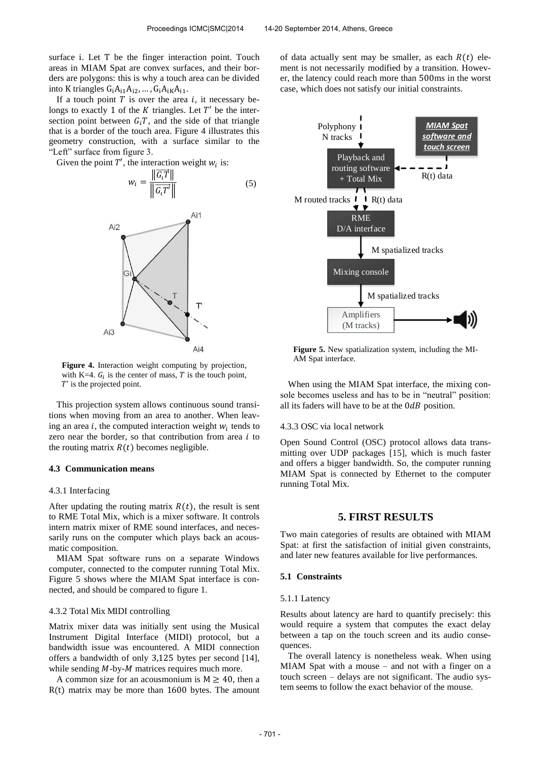surface i. Let T be the finger interaction point. Touch areas in MIAM Spat are convex surfaces, and their borders are polygons: this is why a touch area can be divided into K triangles  $G_iA_{i1}A_{i2}$ , ...,  $G_iA_{iK}A_{i1}$ .

If a touch point  $T$  is over the area  $i$ , it necessary belongs to exactly 1 of the  $K$  triangles. Let  $T'$  be the intersection point between  $G_iT$ , and the side of that triangle that is a border of the touch area. Figure 4 illustrates this geometry construction, with a surface similar to the "Left" surface from figure 3.

Given the point  $T'$ , the interaction weight  $w_i$  is:

$$
w_i = \frac{\left\| \overrightarrow{G_i T} \right\|}{\left\| \overrightarrow{G_i T'} \right\|} \tag{5}
$$



**Figure 4.** Interaction weight computing by projection, with K=4.  $G_i$  is the center of mass, T is the touch point,  $T'$  is the projected point.

This projection system allows continuous sound transitions when moving from an area to another. When leaving an area  $i$ , the computed interaction weight  $w_i$  tends to zero near the border, so that contribution from area  $i$  to the routing matrix  $R(t)$  becomes negligible.

#### **4.3 Communication means**

### 4.3.1 Interfacing

After updating the routing matrix  $R(t)$ , the result is sent to RME Total Mix, which is a mixer software. It controls intern matrix mixer of RME sound interfaces, and necessarily runs on the computer which plays back an acousmatic composition.

MIAM Spat software runs on a separate Windows computer, connected to the computer running Total Mix. Figure 5 shows where the MIAM Spat interface is connected, and should be compared to figure 1.

#### 4.3.2 Total Mix MIDI controlling

Matrix mixer data was initially sent using the Musical Instrument Digital Interface (MIDI) protocol, but a bandwidth issue was encountered. A MIDI connection offers a bandwidth of only  $3,125$  bytes per second [14], while sending  $M$ -by- $M$  matrices requires much more.

A common size for an acousmonium is  $M \ge 40$ , then a  $R(t)$  matrix may be more than 1600 bytes. The amount of data actually sent may be smaller, as each  $R(t)$  element is not necessarily modified by a transition. However, the latency could reach more than 500ms in the worst case, which does not satisfy our initial constraints.



**Figure 5.** New spatialization system, including the MI-AM Spat interface.

When using the MIAM Spat interface, the mixing console becomes useless and has to be in "neutral" position: all its faders will have to be at the  $0dB$  position.

#### 4.3.3 OSC via local network

Open Sound Control (OSC) protocol allows data transmitting over UDP packages [15], which is much faster and offers a bigger bandwidth. So, the computer running MIAM Spat is connected by Ethernet to the computer running Total Mix.

# **5. FIRST RESULTS**

Two main categories of results are obtained with MIAM Spat: at first the satisfaction of initial given constraints, and later new features available for live performances.

#### **5.1 Constraints**

### 5.1.1 Latency

Results about latency are hard to quantify precisely: this would require a system that computes the exact delay between a tap on the touch screen and its audio consequences.

The overall latency is nonetheless weak. When using MIAM Spat with a mouse – and not with a finger on a touch screen – delays are not significant. The audio system seems to follow the exact behavior of the mouse.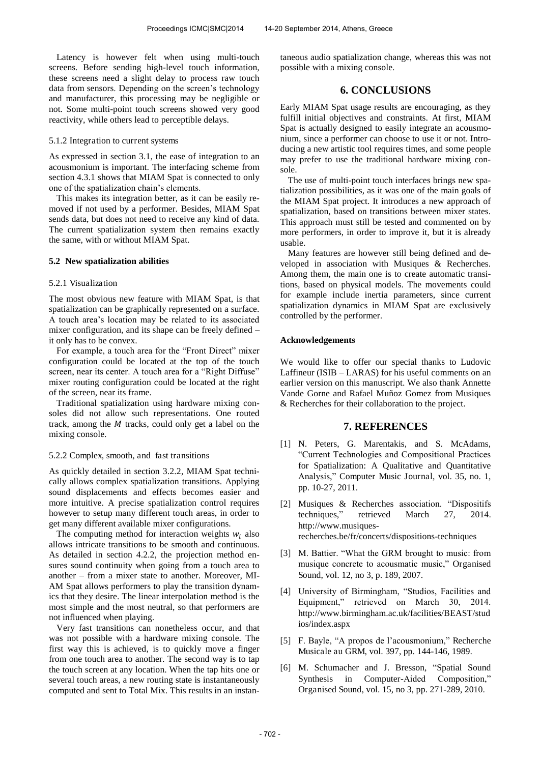Latency is however felt when using multi-touch screens. Before sending high-level touch information, these screens need a slight delay to process raw touch data from sensors. Depending on the screen's technology and manufacturer, this processing may be negligible or not. Some multi-point touch screens showed very good reactivity, while others lead to perceptible delays.

# 5.1.2 Integration to current systems

As expressed in section 3.1, the ease of integration to an acousmonium is important. The interfacing scheme from section 4.3.1 shows that MIAM Spat is connected to only one of the spatialization chain's elements.

This makes its integration better, as it can be easily removed if not used by a performer. Besides, MIAM Spat sends data, but does not need to receive any kind of data. The current spatialization system then remains exactly the same, with or without MIAM Spat.

# **5.2 New spatialization abilities**

# 5.2.1 Visualization

The most obvious new feature with MIAM Spat, is that spatialization can be graphically represented on a surface. A touch area's location may be related to its associated mixer configuration, and its shape can be freely defined – it only has to be convex.

For example, a touch area for the "Front Direct" mixer configuration could be located at the top of the touch screen, near its center. A touch area for a "Right Diffuse" mixer routing configuration could be located at the right of the screen, near its frame.

Traditional spatialization using hardware mixing consoles did not allow such representations. One routed track, among the  $M$  tracks, could only get a label on the mixing console.

# 5.2.2 Complex, smooth, and fast transitions

As quickly detailed in section 3.2.2, MIAM Spat technically allows complex spatialization transitions. Applying sound displacements and effects becomes easier and more intuitive. A precise spatialization control requires however to setup many different touch areas, in order to get many different available mixer configurations.

The computing method for interaction weights  $w_i$  also allows intricate transitions to be smooth and continuous. As detailed in section 4.2.2, the projection method ensures sound continuity when going from a touch area to another – from a mixer state to another. Moreover, MI-AM Spat allows performers to play the transition dynamics that they desire. The linear interpolation method is the most simple and the most neutral, so that performers are not influenced when playing.

Very fast transitions can nonetheless occur, and that was not possible with a hardware mixing console. The first way this is achieved, is to quickly move a finger from one touch area to another. The second way is to tap the touch screen at any location. When the tap hits one or several touch areas, a new routing state is instantaneously computed and sent to Total Mix. This results in an instantaneous audio spatialization change, whereas this was not possible with a mixing console.

# **6. CONCLUSIONS**

Early MIAM Spat usage results are encouraging, as they fulfill initial objectives and constraints. At first, MIAM Spat is actually designed to easily integrate an acousmonium, since a performer can choose to use it or not. Introducing a new artistic tool requires times, and some people may prefer to use the traditional hardware mixing console.

The use of multi-point touch interfaces brings new spatialization possibilities, as it was one of the main goals of the MIAM Spat project. It introduces a new approach of spatialization, based on transitions between mixer states. This approach must still be tested and commented on by more performers, in order to improve it, but it is already usable.

Many features are however still being defined and developed in association with Musiques & Recherches. Among them, the main one is to create automatic transitions, based on physical models. The movements could for example include inertia parameters, since current spatialization dynamics in MIAM Spat are exclusively controlled by the performer.

# **Acknowledgements**

We would like to offer our special thanks to Ludovic Laffineur (ISIB – LARAS) for his useful comments on an earlier version on this manuscript. We also thank Annette Vande Gorne and Rafael Muñoz Gomez from Musiques & Recherches for their collaboration to the project.

# **7. REFERENCES**

- [1] N. Peters, G. Marentakis, and S. McAdams, "Current Technologies and Compositional Practices for Spatialization: A Qualitative and Quantitative Analysis," Computer Music Journal, vol. 35, no. 1, pp. 10-27, 2011.
- [2] Musiques & Recherches association. "Dispositifs techniques," retrieved March 27, 2014. [http://www.musiques](http://www.musiques-recherches.be/fr/concerts/dispositions-techniques)[recherches.be/fr/concerts/dispositions-techniques](http://www.musiques-recherches.be/fr/concerts/dispositions-techniques)
- [3] M. Battier. "What the GRM brought to music: from musique concrete to acousmatic music," Organised Sound, vol. 12, no 3, p. 189, 2007.
- [4] University of Birmingham, "Studios, Facilities and Equipment," retrieved on March 30, 2014. [http://www.birmingham.ac.uk/facilities/BEAST/stud](http://www.birmingham.ac.uk/facilities/BEAST/studios/index.aspx) [ios/index.aspx](http://www.birmingham.ac.uk/facilities/BEAST/studios/index.aspx)
- [5] F. Bayle, "A propos de l'acousmonium," Recherche Musicale au GRM, vol. 397, pp. 144-146, 1989.
- [6] M. Schumacher and J. Bresson, "Spatial Sound Synthesis in Computer-Aided Composition," Organised Sound, vol. 15, no 3, pp. 271-289, 2010.